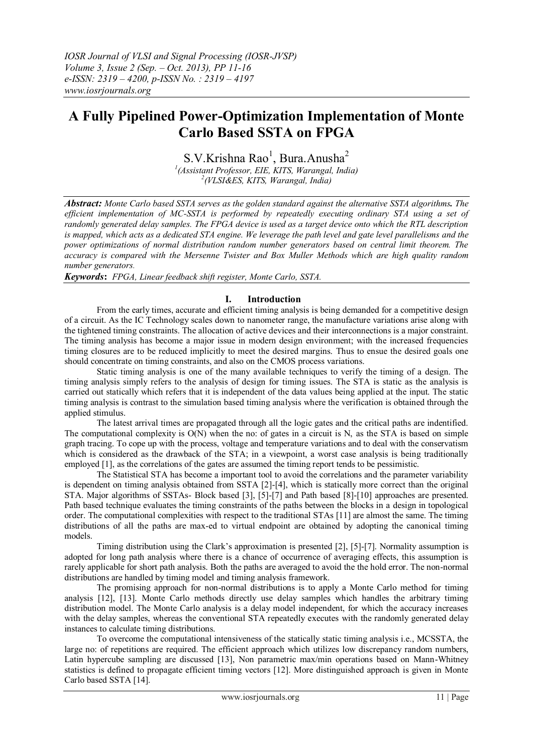# **A Fully Pipelined Power-Optimization Implementation of Monte Carlo Based SSTA on FPGA**

S.V.Krishna Rao<sup>1</sup>, Bura.Anusha<sup>2</sup> *1 (Assistant Professor, EIE, KITS, Warangal, India) 2 (VLSI&ES, KITS, Warangal, India)*

*Abstract: Monte Carlo based SSTA serves as the golden standard against the alternative SSTA algorithms. The efficient implementation of MC-SSTA is performed by repeatedly executing ordinary STA using a set of randomly generated delay samples. The FPGA device is used as a target device onto which the RTL description is mapped, which acts as a dedicated STA engine. We leverage the path level and gate level parallelisms and the power optimizations of normal distribution random number generators based on central limit theorem. The accuracy is compared with the Mersenne Twister and Box Muller Methods which are high quality random number generators.* 

*Keywords***:** *FPGA, Linear feedback shift register, Monte Carlo, SSTA.*

# **I. Introduction**

From the early times, accurate and efficient timing analysis is being demanded for a competitive design of a circuit. As the IC Technology scales down to nanometer range, the manufacture variations arise along with the tightened timing constraints. The allocation of active devices and their interconnections is a major constraint. The timing analysis has become a major issue in modern design environment; with the increased frequencies timing closures are to be reduced implicitly to meet the desired margins. Thus to ensue the desired goals one should concentrate on timing constraints, and also on the CMOS process variations.

Static timing analysis is one of the many available techniques to verify the timing of a design. The timing analysis simply refers to the analysis of design for timing issues. The STA is static as the analysis is carried out statically which refers that it is independent of the data values being applied at the input. The static timing analysis is contrast to the simulation based timing analysis where the verification is obtained through the applied stimulus.

The latest arrival times are propagated through all the logic gates and the critical paths are indentified. The computational complexity is  $O(N)$  when the no: of gates in a circuit is N, as the STA is based on simple graph tracing. To cope up with the process, voltage and temperature variations and to deal with the conservatism which is considered as the drawback of the STA; in a viewpoint, a worst case analysis is being traditionally employed [1], as the correlations of the gates are assumed the timing report tends to be pessimistic.

The Statistical STA has become a important tool to avoid the correlations and the parameter variability is dependent on timing analysis obtained from SSTA [2]-[4], which is statically more correct than the original STA. Major algorithms of SSTAs- Block based [3], [5]-[7] and Path based [8]-[10] approaches are presented. Path based technique evaluates the timing constraints of the paths between the blocks in a design in topological order. The computational complexities with respect to the traditional STAs [11] are almost the same. The timing distributions of all the paths are max-ed to virtual endpoint are obtained by adopting the canonical timing models.

Timing distribution using the Clark's approximation is presented [2], [5]-[7]. Normality assumption is adopted for long path analysis where there is a chance of occurrence of averaging effects, this assumption is rarely applicable for short path analysis. Both the paths are averaged to avoid the the hold error. The non-normal distributions are handled by timing model and timing analysis framework.

The promising approach for non-normal distributions is to apply a Monte Carlo method for timing analysis [12], [13]. Monte Carlo methods directly use delay samples which handles the arbitrary timing distribution model. The Monte Carlo analysis is a delay model independent, for which the accuracy increases with the delay samples, whereas the conventional STA repeatedly executes with the randomly generated delay instances to calculate timing distributions.

To overcome the computational intensiveness of the statically static timing analysis i.e., MCSSTA, the large no: of repetitions are required. The efficient approach which utilizes low discrepancy random numbers, Latin hypercube sampling are discussed [13], Non parametric max/min operations based on Mann-Whitney statistics is defined to propagate efficient timing vectors [12]. More distinguished approach is given in Monte Carlo based SSTA [14].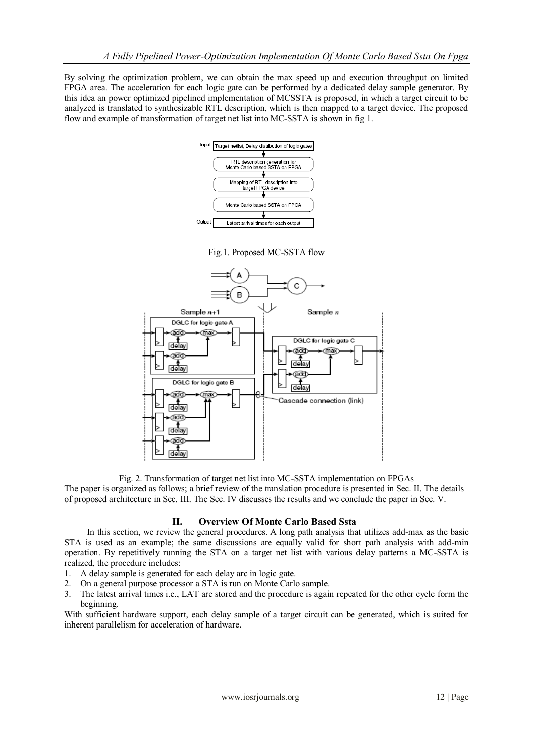By solving the optimization problem, we can obtain the max speed up and execution throughput on limited FPGA area. The acceleration for each logic gate can be performed by a dedicated delay sample generator. By this idea an power optimized pipelined implementation of MCSSTA is proposed, in which a target circuit to be analyzed is translated to synthesizable RTL description, which is then mapped to a target device. The proposed flow and example of transformation of target net list into MC-SSTA is shown in fig 1.



Fig.1. Proposed MC-SSTA flow



Fig. 2. Transformation of target net list into MC-SSTA implementation on FPGAs

The paper is organized as follows; a brief review of the translation procedure is presented in Sec. II. The details of proposed architecture in Sec. III. The Sec. IV discusses the results and we conclude the paper in Sec. V.

### **II. Overview Of Monte Carlo Based Ssta**

In this section, we review the general procedures. A long path analysis that utilizes add-max as the basic STA is used as an example; the same discussions are equally valid for short path analysis with add-min operation. By repetitively running the STA on a target net list with various delay patterns a MC-SSTA is realized, the procedure includes:

- 1. A delay sample is generated for each delay arc in logic gate.
- 2. On a general purpose processor a STA is run on Monte Carlo sample.
- 3. The latest arrival times i.e., LAT are stored and the procedure is again repeated for the other cycle form the beginning.

With sufficient hardware support, each delay sample of a target circuit can be generated, which is suited for inherent parallelism for acceleration of hardware.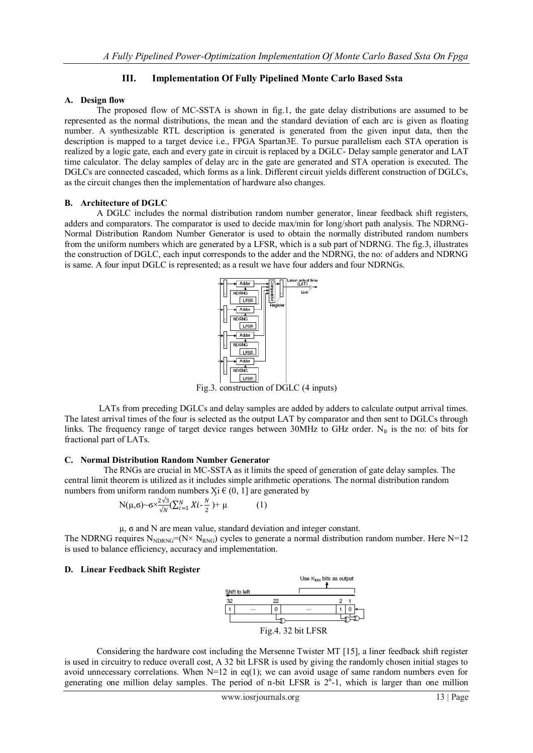# **III. Implementation Of Fully Pipelined Monte Carlo Based Ssta**

## **A. Design flow**

The proposed flow of MC-SSTA is shown in fig.1, the gate delay distributions are assumed to be represented as the normal distributions, the mean and the standard deviation of each arc is given as floating number. A synthesizable RTL description is generated is generated from the given input data, then the description is mapped to a target device i.e., FPGA Spartan3E. To pursue parallelism each STA operation is realized by a logic gate, each and every gate in circuit is replaced by a DGLC- Delay sample generator and LAT time calculator. The delay samples of delay arc in the gate are generated and STA operation is executed. The DGLCs are connected cascaded, which forms as a link. Different circuit yields different construction of DGLCs, as the circuit changes then the implementation of hardware also changes.

# **B. Architecture of DGLC**

A DGLC includes the normal distribution random number generator, linear feedback shift registers, adders and comparators. The comparator is used to decide max/min for long/short path analysis. The NDRNG-Normal Distribution Random Number Generator is used to obtain the normally distributed random numbers from the uniform numbers which are generated by a LFSR, which is a sub part of NDRNG. The fig.3, illustrates the construction of DGLC, each input corresponds to the adder and the NDRNG, the no: of adders and NDRNG is same. A four input DGLC is represented; as a result we have four adders and four NDRNGs.



Fig.3. construction of DGLC (4 inputs)

LATs from preceding DGLCs and delay samples are added by adders to calculate output arrival times. The latest arrival times of the four is selected as the output LAT by comparator and then sent to DGLCs through links. The frequency range of target device ranges between 30MHz to GHz order. N<sub>fr</sub> is the no: of bits for fractional part of LATs.

### **C. Normal Distribution Random Number Generator**

 The RNGs are crucial in MC-SSTA as it limits the speed of generation of gate delay samples. The central limit theorem is utilized as it includes simple arithmetic operations. The normal distribution random numbers from uniform random numbers  $Xi$  (0, 1] are generated by

$$
N(\mu, \sigma) \sim \sigma \times \frac{2\sqrt{3}}{\sqrt{N}} (\sum_{i=1}^{N} X i - \frac{N}{2}) + \mu
$$
 (1)

µ, ϭ and N are mean value, standard deviation and integer constant. The NDRNG requires  $N_{NDRNG} = (N \times N_{RNG})$  cycles to generate a normal distribution random number. Here N=12 is used to balance efficiency, accuracy and implementation.

### **D. Linear Feedback Shift Register**



Considering the hardware cost including the Mersenne Twister MT [15], a liner feedback shift register is used in circuitry to reduce overall cost, A 32 bit LFSR is used by giving the randomly chosen initial stages to avoid unnecessary correlations. When  $N=12$  in eq(1); we can avoid usage of same random numbers even for generating one million delay samples. The period of n-bit LFSR is  $2<sup>n</sup>$ -1, which is larger than one million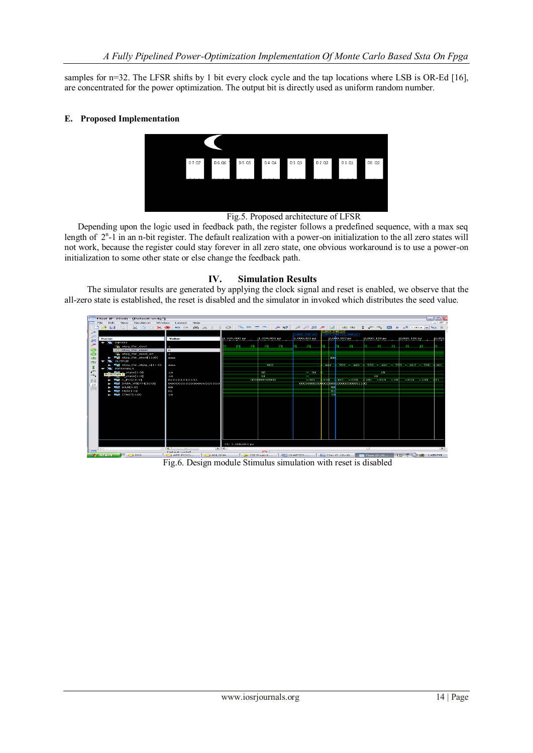samples for  $n=32$ . The LFSR shifts by 1 bit every clock cycle and the tap locations where LSB is OR-Ed [16], are concentrated for the power optimization. The output bit is directly used as uniform random number.

#### **E. Proposed Implementation**



#### Fig.5. Proposed architecture of LFSR

 Depending upon the logic used in feedback path, the register follows a predefined sequence, with a max seq length of  $2<sup>n</sup>$ -1 in an n-bit register. The default realization with a power-on initialization to the all zero states will not work, because the register could stay forever in all zero state, one obvious workaround is to use a power-on initialization to some other state or else change the feedback path.

### **IV. Simulation Results**

The simulator results are generated by applying the clock signal and reset is enabled, we observe that the all-zero state is established, the reset is disabled and the simulator in invoked which distributes the seed value.

| <b>BW</b> Float (P.28xd) - [Default.wcfg*]                                                                                                                                 |                                                                                           |              |                          |              |  |                                                                            |              |         |            |                       |                 |     |              |                                  |                         | $\Box$ $\Box$ $\times$ |
|----------------------------------------------------------------------------------------------------------------------------------------------------------------------------|-------------------------------------------------------------------------------------------|--------------|--------------------------|--------------|--|----------------------------------------------------------------------------|--------------|---------|------------|-----------------------|-----------------|-----|--------------|----------------------------------|-------------------------|------------------------|
| File.<br>Simulation Window<br>Edit<br><b>View</b><br>Help<br>Layout                                                                                                        |                                                                                           |              |                          |              |  |                                                                            |              |         |            |                       |                 |     |              |                                  |                         |                        |
| <b>D 2 5 2 5</b>                                                                                                                                                           | * @ @ X @   % @   M @   T @     @ H @   # M   @ # @ #   @   + +   # +   # + X Loous   4 H |              |                          |              |  |                                                                            |              |         |            |                       |                 |     |              |                                  |                         |                        |
|                                                                                                                                                                            |                                                                                           |              |                          |              |  |                                                                            |              |         |            | <b>CONTRACTOR</b>     |                 |     |              |                                  |                         |                        |
|                                                                                                                                                                            |                                                                                           |              |                          |              |  |                                                                            | 2,000,000 ps |         |            | 130 000, sq 040,000.5 |                 |     |              |                                  |                         |                        |
| <b>Name</b><br>93                                                                                                                                                          | Value                                                                                     | 1,999,900 ps |                          | 1,999,950 ps |  |                                                                            | 2,000,000 ps |         |            | 2,000,050 ps          | 2,000,100 ps    |     |              | 2,000,150 ps                     |                         | 2,000                  |
| $\blacktriangledown$ <b>T</b> INPUTS                                                                                                                                       |                                                                                           |              |                          |              |  |                                                                            |              |         |            |                       |                 |     |              |                                  |                         |                        |
| <b>Le atpg Ifsr_clock</b>                                                                                                                                                  |                                                                                           |              | <b>PERSONAL PROPERTY</b> | n.           |  |                                                                            |              |         |            |                       |                 |     |              |                                  |                         |                        |
| <b>CO</b><br>atpg_ifsr_reset                                                                                                                                               | $\circ$                                                                                   |              |                          |              |  |                                                                            |              |         |            |                       |                 |     |              |                                  |                         |                        |
| $\bullet$<br>atpg Ifsr_seed_en                                                                                                                                             | $\mathbf{a}$                                                                              |              |                          |              |  |                                                                            |              |         |            |                       |                 |     |              |                                  |                         |                        |
| $\blacktriangleright$ $\blacksquare$ atpg if ar seed[11:0]<br>74                                                                                                           | <b>COLORADO</b>                                                                           |              |                          |              |  |                                                                            |              |         | aad.       |                       |                 |     |              |                                  |                         |                        |
| <b>E</b> OUTPUT<br>÷<br>$\rightarrow$ r                                                                                                                                    |                                                                                           |              |                          |              |  |                                                                            |              |         |            |                       |                 |     |              |                                  |                         |                        |
| $\blacktriangleright$ $\blacksquare$ atpg. If at atpg. of 11:0]<br>昔<br><b>WE INTERNALS</b>                                                                                | <b><i><u>COLOR</u></i></b>                                                                |              |                          | 1000         |  |                                                                            |              | andra a |            | SST (Canab            |                 |     |              | 556 )( aac )( 550 )( ab.1 )( 566 |                         | <b>Cancer</b>          |
|                                                                                                                                                                            | 10                                                                                        |              |                          | $-00$        |  |                                                                            | $\times$ 01  |         |            |                       |                 | 10. |              |                                  |                         |                        |
| INTERNALS state[1:0]                                                                                                                                                       | 10                                                                                        |              |                          | ot           |  |                                                                            |              |         |            |                       | 10 <sup>1</sup> |     |              |                                  |                         |                        |
| $\blacktriangleright$ $\blacksquare$ $\blacksquare$ $\blacksquare$ $\blacksquare$ $\blacksquare$ $\blacksquare$                                                            | 010101010101                                                                              |              |                          | 00000000000  |  |                                                                            | <b>CERE</b>  | comb.   |            | $101 - X010$          |                 |     |              |                                  | $\chi$ 10 $\chi$ $\sim$ | To s                   |
| $\blacktriangleright$ <b>M</b> DATA_WIDTH[3110]                                                                                                                            | 000000000000000000000                                                                     |              |                          |              |  | Control School School<br>00000000000 <mark>0</mark> 0000000000000000001100 |              |         |            |                       |                 |     |              |                                  |                         |                        |
| <b>20</b><br>$\blacktriangleright$ <b>Red</b> IDLE[1:0]                                                                                                                    | $\circ$                                                                                   |              |                          |              |  |                                                                            |              |         |            |                       |                 |     |              |                                  |                         |                        |
| $\overline{1111}$<br>$\blacktriangleright$ <b>ENALL:</b> OI                                                                                                                | 01                                                                                        |              |                          |              |  |                                                                            |              |         | -00<br>-01 |                       |                 |     |              |                                  |                         |                        |
| $\blacktriangleright$ $\blacksquare$ START[1:0]                                                                                                                            | 10                                                                                        |              |                          |              |  |                                                                            |              |         | -10        |                       |                 |     |              |                                  |                         |                        |
|                                                                                                                                                                            |                                                                                           |              |                          |              |  |                                                                            |              |         |            |                       |                 |     |              |                                  |                         |                        |
|                                                                                                                                                                            |                                                                                           |              |                          |              |  |                                                                            |              |         |            |                       |                 |     |              |                                  |                         |                        |
|                                                                                                                                                                            |                                                                                           |              |                          |              |  |                                                                            |              |         |            |                       |                 |     |              |                                  |                         |                        |
|                                                                                                                                                                            |                                                                                           |              |                          |              |  |                                                                            |              |         |            |                       |                 |     |              |                                  |                         |                        |
|                                                                                                                                                                            |                                                                                           |              |                          |              |  |                                                                            |              |         |            |                       |                 |     |              |                                  |                         |                        |
|                                                                                                                                                                            |                                                                                           |              |                          |              |  |                                                                            |              |         |            |                       |                 |     |              |                                  |                         |                        |
|                                                                                                                                                                            |                                                                                           |              |                          |              |  |                                                                            |              |         |            |                       |                 |     |              |                                  |                         |                        |
|                                                                                                                                                                            |                                                                                           |              |                          |              |  |                                                                            |              |         |            |                       |                 |     |              |                                  |                         |                        |
|                                                                                                                                                                            |                                                                                           |              |                          |              |  |                                                                            |              |         |            |                       |                 |     |              |                                  |                         |                        |
|                                                                                                                                                                            |                                                                                           |              |                          |              |  |                                                                            |              |         |            |                       |                 |     |              |                                  |                         |                        |
|                                                                                                                                                                            |                                                                                           |              |                          |              |  |                                                                            |              |         |            |                       |                 |     |              |                                  |                         |                        |
|                                                                                                                                                                            |                                                                                           |              |                          |              |  |                                                                            |              |         |            |                       |                 |     |              |                                  |                         |                        |
|                                                                                                                                                                            | $×1: 2,000,040$ ps                                                                        |              |                          |              |  |                                                                            |              |         |            |                       |                 |     |              |                                  |                         |                        |
|                                                                                                                                                                            | 2 <<br>$>$ $\sim$ $\sim$ $\sim$ $\sim$ $\sim$ $\sim$                                      |              |                          |              |  |                                                                            |              |         |            |                       |                 |     | <b>IDENT</b> |                                  |                         |                        |
| gera.<br><b>Confinedit comfailt</b><br><b>D</b> $\sqrt{2}$ C <b>L</b> 1:05 PM<br><b>M)</b> CHAPTER <b>Exc</b> ISim (P.28xd)<br>$F_{\text{CVR}}$ Float (P.28<br>ISE Project |                                                                                           |              |                          |              |  |                                                                            |              |         |            |                       |                 |     |              |                                  |                         |                        |
| <b><i>Prattite</i></b><br>$V \supseteq BRB$                                                                                                                                | <b>D</b> ANUSHA<br>$\Box$ AFP-POIO                                                        |              |                          |              |  |                                                                            |              |         |            |                       |                 |     |              |                                  |                         |                        |

Fig.6. Design module Stimulus simulation with reset is disabled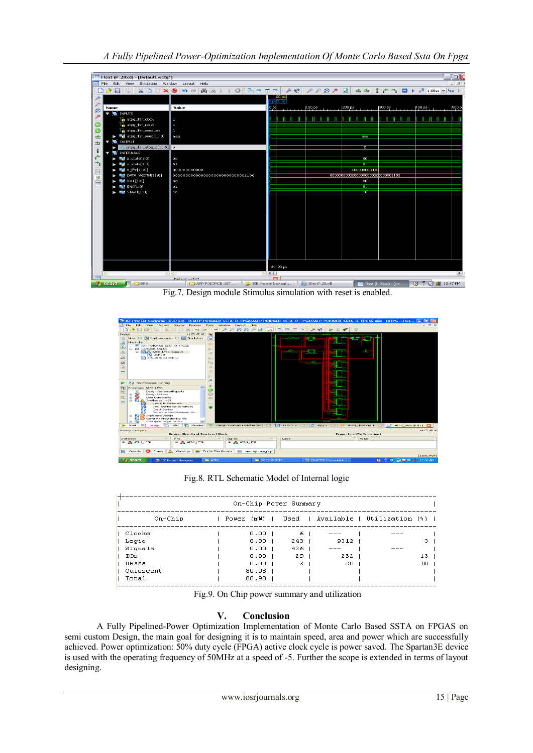



Fig.8. RTL Schematic Model of Internal logic

| On-Chip Power Summary |  |       |                   |  |     |  |               |  |                                                 |                 |  |  |
|-----------------------|--|-------|-------------------|--|-----|--|---------------|--|-------------------------------------------------|-----------------|--|--|
| On-Chip               |  |       |                   |  |     |  |               |  | Power (mW)   Used   Available   Utilization (%) |                 |  |  |
| l Clocks              |  |       | $0.00$ 1          |  | 6.  |  |               |  |                                                 |                 |  |  |
| l Logic               |  |       | $0.00$ 1          |  | 243 |  | $9312$ $\mid$ |  |                                                 | з.              |  |  |
| Signals               |  |       | 0.00 <sub>1</sub> |  | 436 |  | ---           |  |                                                 |                 |  |  |
| IOs                   |  |       | 0.00 <sub>1</sub> |  | 29. |  | $232$         |  |                                                 | 13 <sub>1</sub> |  |  |
| 1 BRAMS               |  |       | $0.00$ 1          |  | 2   |  | 201           |  |                                                 | 10 <sub>1</sub> |  |  |
| Ouiescent             |  | 80.98 |                   |  |     |  |               |  |                                                 |                 |  |  |
| Total                 |  | 80.98 |                   |  |     |  |               |  |                                                 |                 |  |  |

Fig.9. On Chip power summary and utilization

# **V. Conclusion**

A Fully Pipelined-Power Optimization Implementation of Monte Carlo Based SSTA on FPGAS on semi custom Design, the main goal for designing it is to maintain speed, area and power which are successfully achieved. Power optimization: 50% duty cycle (FPGA) active clock cycle is power saved. The Spartan3E device is used with the operating frequency of 50MHz at a speed of -5. Further the scope is extended in terms of layout designing.